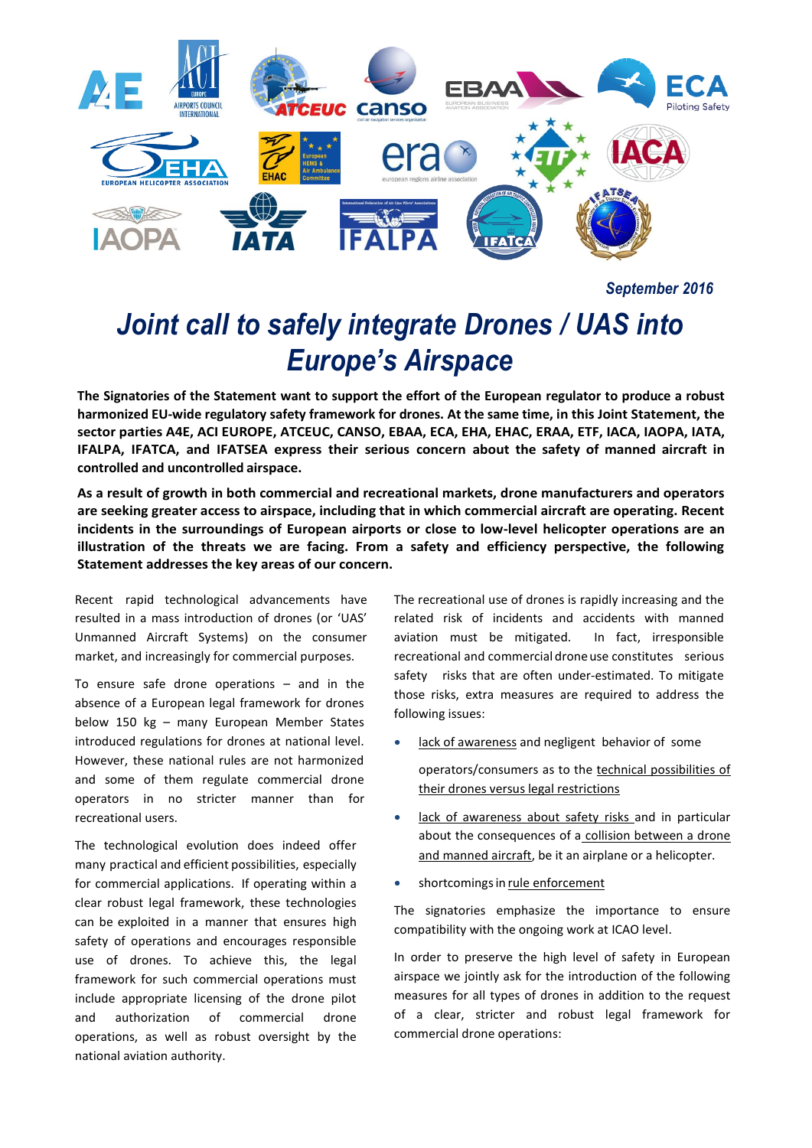

*September 2016*

# *Joint call to safely integrate Drones / UAS into Europe's Airspace*

**The Signatories of the Statement want to support the effort of the European regulator to produce a robust harmonized EU-wide regulatory safety framework for drones. At the same time, in this Joint Statement, the sector parties A4E, ACI EUROPE, ATCEUC, CANSO, EBAA, ECA, EHA, EHAC, ERAA, ETF, IACA, IAOPA, IATA, IFALPA, IFATCA, and IFATSEA express their serious concern about the safety of manned aircraft in controlled and uncontrolled airspace.**

**As a result of growth in both commercial and recreational markets, drone manufacturers and operators are seeking greater access to airspace, including that in which commercial aircraft are operating. Recent incidents in the surroundings of European airports or close to low-level helicopter operations are an illustration of the threats we are facing. From a safety and efficiency perspective, the following Statement addresses the key areas of our concern.**

Recent rapid technological advancements have resulted in a mass introduction of drones (or 'UAS' Unmanned Aircraft Systems) on the consumer market, and increasingly for commercial purposes.

To ensure safe drone operations – and in the absence of a European legal framework for drones below 150 kg – many European Member States introduced regulations for drones at national level. However, these national rules are not harmonized and some of them regulate commercial drone operators in no stricter manner than for recreational users.

The technological evolution does indeed offer many practical and efficient possibilities, especially for commercial applications. If operating within a clear robust legal framework, these technologies can be exploited in a manner that ensures high safety of operations and encourages responsible use of drones. To achieve this, the legal framework for such commercial operations must include appropriate licensing of the drone pilot and authorization of commercial drone operations, as well as robust oversight by the national aviation authority.

The recreational use of drones is rapidly increasing and the related risk of incidents and accidents with manned aviation must be mitigated. In fact, irresponsible recreational and commercial droneuse constitutes serious safety risks that are often under-estimated. To mitigate those risks, extra measures are required to address the following issues:

- lack of awareness and negligent behavior of some operators/consumers as to the technical possibilities of their drones versus legal restrictions
- lack of awareness about safety risks and in particular about the consequences of a collision between a drone and manned aircraft, be it an airplane or a helicopter.
- shortcomings in rule enforcement

The signatories emphasize the importance to ensure compatibility with the ongoing work at ICAO level.

In order to preserve the high level of safety in European airspace we jointly ask for the introduction of the following measures for all types of drones in addition to the request of a clear, stricter and robust legal framework for commercial drone operations: